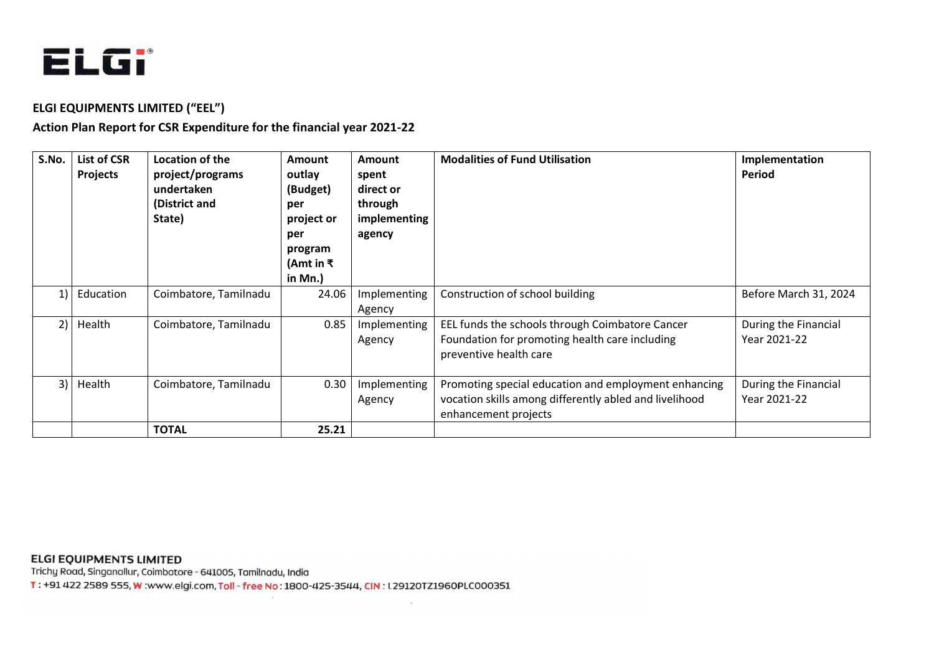

## **ELGI EQUIPMENTS LIMITED ("EEL")**

# **Action Plan Report for CSR Expenditure for the financial year 2021-22**

| S.No.                                          | List of CSR<br><b>Projects</b> | Location of the<br>project/programs<br>undertaken<br>(District and<br>State) | <b>Amount</b><br>outlay<br>(Budget)<br>per<br>project or<br>per<br>program<br>(Amt in ₹<br>in Mn.) | Amount<br>spent<br>direct or<br>through<br>implementing<br>agency | <b>Modalities of Fund Utilisation</b>                                                                                                  | Implementation<br>Period             |
|------------------------------------------------|--------------------------------|------------------------------------------------------------------------------|----------------------------------------------------------------------------------------------------|-------------------------------------------------------------------|----------------------------------------------------------------------------------------------------------------------------------------|--------------------------------------|
| $\left( \begin{matrix} 1 \end{matrix} \right)$ | Education                      | Coimbatore, Tamilnadu                                                        | 24.06                                                                                              | Implementing<br>Agency                                            | Construction of school building                                                                                                        | Before March 31, 2024                |
| 2)                                             | Health                         | Coimbatore, Tamilnadu                                                        | 0.85                                                                                               | Implementing<br>Agency                                            | EEL funds the schools through Coimbatore Cancer<br>Foundation for promoting health care including<br>preventive health care            | During the Financial<br>Year 2021-22 |
| 3)                                             | Health                         | Coimbatore, Tamilnadu                                                        | 0.30                                                                                               | Implementing<br>Agency                                            | Promoting special education and employment enhancing<br>vocation skills among differently abled and livelihood<br>enhancement projects | During the Financial<br>Year 2021-22 |
|                                                |                                | <b>TOTAL</b>                                                                 | 25.21                                                                                              |                                                                   |                                                                                                                                        |                                      |

## **ELGI EQUIPMENTS LIMITED**

Trichy Road, Singanallur, Coimbatore - 641005, Tamilnadu, India

T: +91 422 2589 555, W: www.elgi.com, Toll - free No: 1800-425-3544, CIN: L29120TZ1960PLC000351